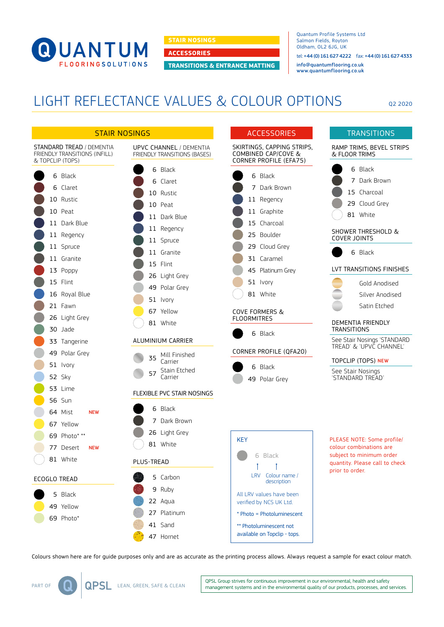

**STAIR NOSINGS**

**ACCESSORIES**

**TRANSITIONS & ENTRANCE MATTING**

Quantum Profile Systems Ltd Salmon Fields, Royton Oldham, OL2 6JG, UK tel: +44 (0) 161 627 4222 fax: +44 (0) 161 627 4333

[info@quantumflooring.co.uk](mailto:info%40quantumflooring.co.uk?subject=) [www.quantumflooring.co.uk](http://www.quantumflooring.co.uk)

## LIGHT REFLECTANCE VALUES & COLOUR OPTIONS

Q2 2020



Colours shown here are for guide purposes only and are as accurate as the printing process allows. Always request a sample for exact colour match.

QPSL Group strives for continuous improvement in our environmental, health and safety management systems and in the environmental quality of our products, processes, and services.